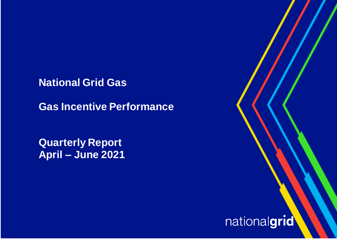**National Grid Gas** 

**Gas Incentive Performance**

**Quarterly Report April – June 2021**

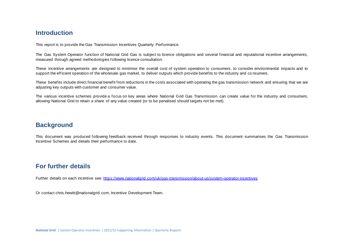## **Introduction**

This report is to provide the Gas Transmission Incentives Quarterly Performance.

The Gas System Operator function of National Grid Gas is subject to licence obligations and several financial and reputational incentive arrangements, measured through agreed methodologies following licence consultation.

These incentive arrangements are designed to minimise the overall cost of system operation to consumers, to consider environmental impacts and to support the efficient operation of the wholesale gas market, to deliver outputs which provide benefits to the industry and co nsumers.

These benefits include direct financial benefit from reductions in the costs associated with operating the gas transmission network and ensuring that we are adjusting key outputs with customer and consumer value.

The various incentive schemes provide a focus on key areas where National Grid Gas Transmission can create value for the industry and consumers, allowing National Grid to retain a share of any value created (or to be penalised should targets not be met).

## **Background**

This document was produced following feedback received through responses to industry events. This document summarises the Gas Transmission Incentive Schemes and details their performance to date.

## **For further details**

Further details on each incentive see: <https://www.nationalgrid.com/uk/gas-transmission/about-us/system-operator-incentives>

Or contac[t chris.hewitt@nationalgrid.com,](mailto:chris.hewitt@nationalgrid.com) Incentive Development Team.